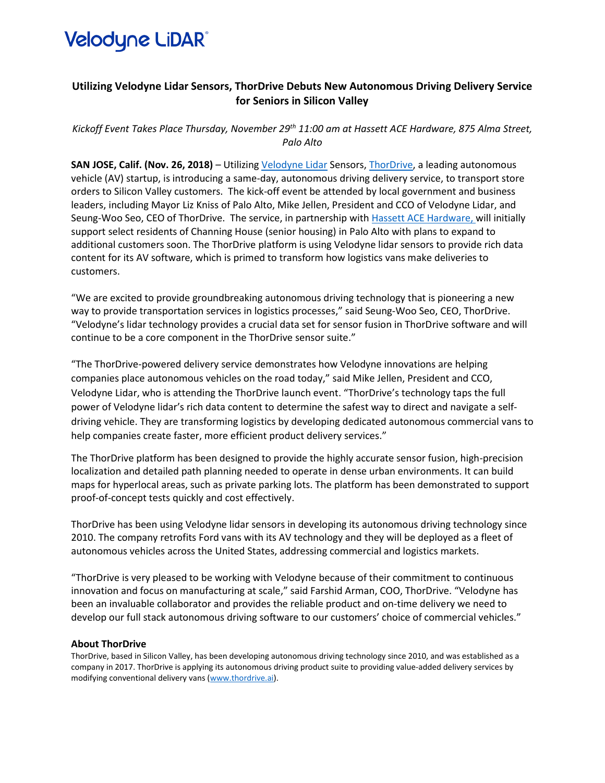

## **Utilizing Velodyne Lidar Sensors, ThorDrive Debuts New Autonomous Driving Delivery Service for Seniors in Silicon Valley**

*Kickoff Event Takes Place Thursday, November 29th 11:00 am at Hassett ACE Hardware, 875 Alma Street, Palo Alto*

**SAN JOSE, Calif. (Nov. 26, 2018)** – Utilizin[g Velodyne Lidar](https://velodynelidar.com/index.html) Sensors[, ThorDrive,](https://www.thordrive.ai/) a leading autonomous vehicle (AV) startup, is introducing a same-day, autonomous driving delivery service, to transport store orders to Silicon Valley customers. The kick-off event be attended by local government and business leaders, including Mayor Liz Kniss of Palo Alto, Mike Jellen, President and CCO of Velodyne Lidar, and Seung-Woo Seo, CEO of ThorDrive. The service, in partnership with [Hassett ACE Hardware,](http://www.hassetthardware.com/) will initially support select residents of Channing House (senior housing) in Palo Alto with plans to expand to additional customers soon. The ThorDrive platform is using Velodyne lidar sensors to provide rich data content for its AV software, which is primed to transform how logistics vans make deliveries to customers.

"We are excited to provide groundbreaking autonomous driving technology that is pioneering a new way to provide transportation services in logistics processes," said Seung-Woo Seo, CEO, ThorDrive. "Velodyne's lidar technology provides a crucial data set for sensor fusion in ThorDrive software and will continue to be a core component in the ThorDrive sensor suite."

"The ThorDrive-powered delivery service demonstrates how Velodyne innovations are helping companies place autonomous vehicles on the road today," said Mike Jellen, President and CCO, Velodyne Lidar, who is attending the ThorDrive launch event. "ThorDrive's technology taps the full power of Velodyne lidar's rich data content to determine the safest way to direct and navigate a selfdriving vehicle. They are transforming logistics by developing dedicated autonomous commercial vans to help companies create faster, more efficient product delivery services."

The ThorDrive platform has been designed to provide the highly accurate sensor fusion, high-precision localization and detailed path planning needed to operate in dense urban environments. It can build maps for hyperlocal areas, such as private parking lots. The platform has been demonstrated to support proof-of-concept tests quickly and cost effectively.

ThorDrive has been using Velodyne lidar sensors in developing its autonomous driving technology since 2010. The company retrofits Ford vans with its AV technology and they will be deployed as a fleet of autonomous vehicles across the United States, addressing commercial and logistics markets.

"ThorDrive is very pleased to be working with Velodyne because of their commitment to continuous innovation and focus on manufacturing at scale," said Farshid Arman, COO, ThorDrive. "Velodyne has been an invaluable collaborator and provides the reliable product and on-time delivery we need to develop our full stack autonomous driving software to our customers' choice of commercial vehicles."

## **About ThorDrive**

ThorDrive, based in Silicon Valley, has been developing autonomous driving technology since 2010, and was established as a company in 2017. ThorDrive is applying its autonomous driving product suite to providing value-added delivery services by modifying conventional delivery vans [\(www.thordrive.ai\)](http://www.thordrive.ai/).